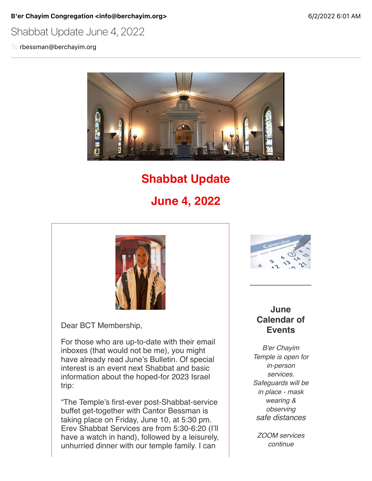B'er Chayim Congregation <info@berchayim.org> 6/2/2022 6:01 AM

Shabbat Update June 4, 2022

To rbessman@berchayim.org



# **Shabbat Update**

**June 4, 2022**



Dear BCT Membership,

For those who are up-to-date with their email inboxes (that would not be me), you might have already read June's Bulletin. Of special interest is an event next Shabbat and basic information about the hoped-for 2023 Israel trip:

"The Temple's first-ever post-Shabbat-service buffet get-together with Cantor Bessman is taking place on Friday, June 10, at 5:30 pm. Erev Shabbat Services are from 5:30-6:20 (I'll have a watch in hand), followed by a leisurely, unhurried dinner with our temple family. I can



#### **June Calendar of Events**

*B'er Chayim Temple is open for in-person services. Safeguards will be in place - mask wearing & observing safe distances*

*ZOOM services continue*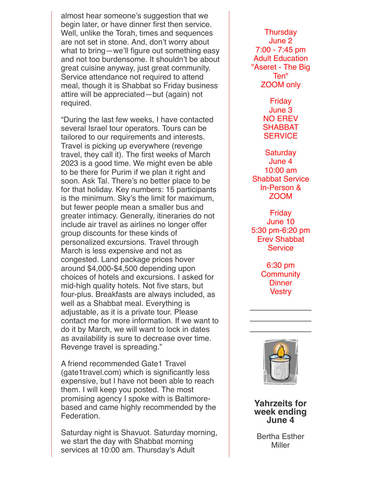almost hear someone's suggestion that we begin later, or have dinner first then service. Well, unlike the Torah, times and sequences are not set in stone. And, don't worry about what to bring—we'll figure out something easy and not too burdensome. It shouldn't be about great cuisine anyway, just great community. Service attendance not required to attend meal, though it is Shabbat so Friday business attire will be appreciated—but (again) not required.

"During the last few weeks, I have contacted several Israel tour operators. Tours can be tailored to our requirements and interests. Travel is picking up everywhere (revenge travel, they call it). The first weeks of March 2023 is a good time. We might even be able to be there for Purim if we plan it right and soon. Ask Tal. There's no better place to be for that holiday. Key numbers: 15 participants is the minimum. Sky's the limit for maximum, but fewer people mean a smaller bus and greater intimacy. Generally, itineraries do not include air travel as airlines no longer offer group discounts for these kinds of personalized excursions. Travel through March is less expensive and not as congested. Land package prices hover around \$4,000-\$4,500 depending upon choices of hotels and excursions. I asked for mid-high quality hotels. Not five stars, but four-plus. Breakfasts are always included, as well as a Shabbat meal. Everything is adjustable, as it is a private tour. Please contact me for more information. If we want to do it by March, we will want to lock in dates as availability is sure to decrease over time. Revenge travel is spreading."

A friend recommended Gate1 Travel (gate1travel.com) which is significantly less expensive, but I have not been able to reach them. I will keep you posted. The most promising agency I spoke with is Baltimorebased and came highly recommended by the Federation.

Saturday night is Shavuot. Saturday morning, we start the day with Shabbat morning services at 10:00 am. Thursday's Adult

June 2 7:00 - 7:45 pm Adult Education "Aseret - The Big Ten" ZOOM only Friday June 3 NO EREV SHABBAT **SERVICE Saturday** June 4 10:00 am Shabbat Service In-Person & ZOOM Friday June 10 5:30 pm-6:20 pm Erev Shabbat

**Service** 

6:30 pm **Community Dinner Vestry** 

Thursday



**Yahrzeits for week ending June 4**

Bertha Esther Miller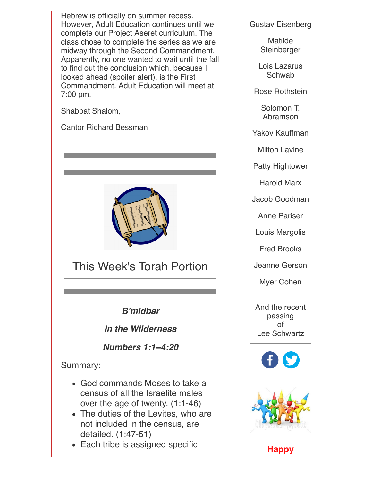Hebrew is officially on summer recess. However, Adult Education continues until we complete our Project Aseret curriculum. The class chose to complete the series as we are midway through the Second Commandment. Apparently, no one wanted to wait until the fall to find out the conclusion which, because I looked ahead (spoiler alert), is the First Commandment. Adult Education will meet at 7:00 pm.

Shabbat Shalom,

Cantor Richard Bessman



This Week's Torah Portion

*B'midbar*

*In the Wilderness*

*Numbers 1:1***−***4:20*

#### Summary:

- God commands Moses to take a census of all the Israelite males over the age of twenty. (1:1-46)
- The duties of the Levites, who are not included in the census, are detailed. (1:47-51)
- Each tribe is assigned specific

Gustav Eisenberg

**Matilde Steinberger** 

Lois Lazarus Schwab

Rose Rothstein

Solomon T. Abramson

Yakov Kauffman

Milton Lavine

Patty Hightower

Harold Marx

Jacob Goodman

Anne Pariser

Louis Margolis

Fred Brooks

Jeanne Gerson

Myer Cohen

And the recent passing of Lee Schwartz





**Happy**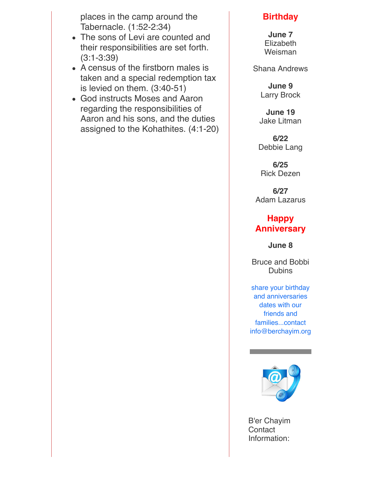places in the camp around the Tabernacle. (1:52-2:34)

- The sons of Levi are counted and their responsibilities are set forth. (3:1-3:39)
- A census of the firstborn males is taken and a special redemption tax is levied on them. (3:40-51)
- God instructs Moses and Aaron regarding the responsibilities of Aaron and his sons, and the duties assigned to the Kohathites. (4:1-20)

### **Birthday**

**June 7** Elizabeth Weisman

Shana Andrews

**June 9** Larry Brock

**June 19** Jake Litman

**6/22** Debbie Lang

**6/25** Rick Dezen

**6/27** Adam Lazarus

## **Happy Anniversary**

**June 8**

Bruce and Bobbi **Dubins** 

share your birthday and anniversaries dates with our friends and families...contact info@berchayim.org



B'er Chayim **Contact** Information: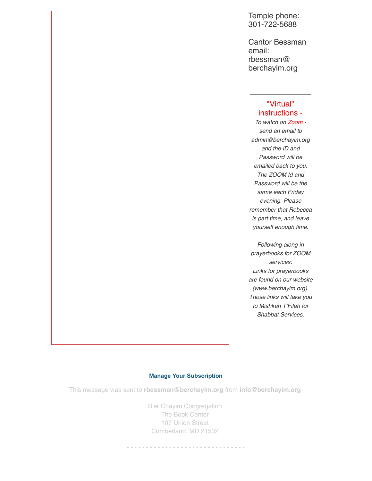Temple phone: 301-722-5688

Cantor Bessman email: rbessman@ berchayim.org

#### "Virtual" instructions -

*To watch on Zoom send an email to admin@berchayim.org and the ID and Password will be emailed back to you. The ZOOM Id and Password will be the same each Friday evening. Please remember that Rebecca is part time, and leave yourself enough time.*

*Following along in prayerbooks for ZOOM services: Links for prayerbooks are found on our website (www.berchayim.org). Those links will take you to Mishkah T'Filah for Shabbat Services.*

#### **[Manage Your Subscription](https://app.icontact.com/icp/mmail-mprofile.php?r=119985007&l=5618&s=4970&m=902724&c=592337)**

This message was sent to **rbessman@berchayim.org** from **info@berchayim.org**

B'er Chayim Congregation The Book Center 107 Union Street Cumberland, MD 21502

- - - - - - - - - - - - - - - - - - - - - - - - - - - - - - -